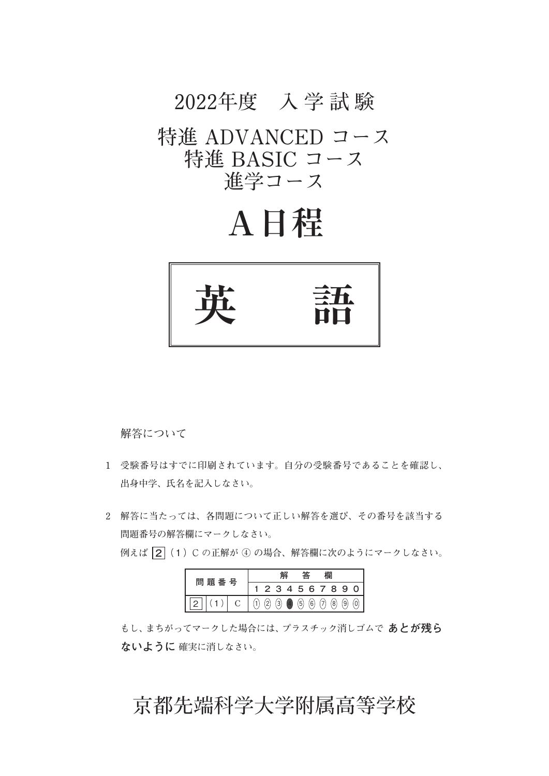# **2022年度 入 学 試 験**

### 特進 ADVANCED コース 特進 BASIC コース **進学コース**

# **A日程**



 **解答について**

- **1 受験番号はすでに印刷されています。自分の受験番号であることを確認し、 出身中学、氏名を記入しなさい。**
- **2 解答に当たっては、各問題について正しい解答を選び、その番号を該当する 問題番号の解答欄にマークしなさい。 例えば  2**(1)C の**正解が ④ の場合、解答欄に次のようにマークしなさい。**

|  | 問<br>題<br>番 号 |  |  |                   |  |             |     |     |     | 2 3 4 5 6 7 8 9 0 |  |
|--|---------------|--|--|-------------------|--|-------------|-----|-----|-----|-------------------|--|
|  |               |  |  | $\lceil 3 \rceil$ |  | $\circleds$ | (6) | (7) | (8) | $\overline{9}$    |  |

 **もし、まちがってマークした場合には、プラスチック消しゴムで あとが残ら ないように 確実に消しなさい。**

### **京都先端科学大学附属高等学校**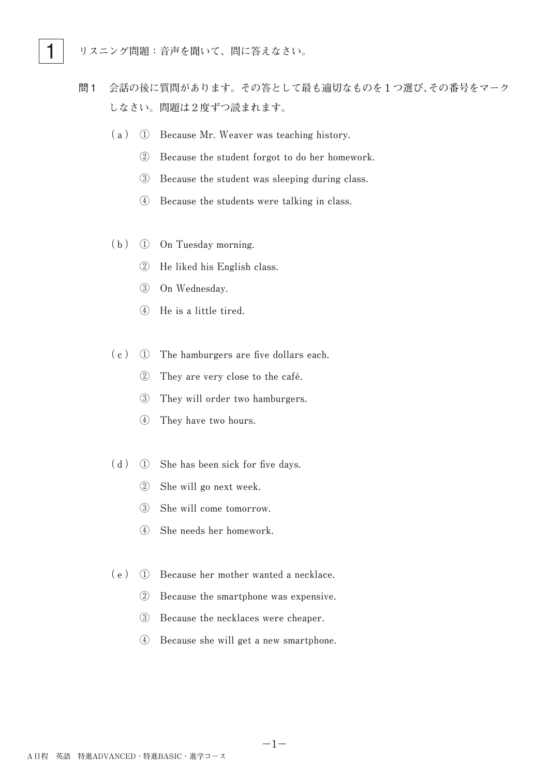

- 問1 **会話の後に質問があります。その答として最も適切なものを1つ選び、その番号をマーク しなさい。問題は2度ずつ読まれます。**
	- (a)  $\Omega$  Because Mr. Weaver was teaching history.
		- **② Because the student forgot to do her homework.**
		- 3 Because the student was sleeping during class.
		- **(4)** Because the students were talking in class.
	- **(b) ① On Tuesday morning.**
		- **② He liked his English class.**
		- **③ On Wednesday.**
		- **④ He is a little tired.**
	- (c) ① The hamburgers are five dollars each.
		- 2 They are very close to the café.
		- **3** They will order two hamburgers.
		- **4** They have two hours.
	- (d) ① She has been sick for five days.
		- **② She will go next week.**
		- 3 She will come tomorrow.
		- **④ She needs her homework.**
	- (e) ① Because her mother wanted a necklace.
		- 2 Because the smartphone was expensive.
		- **3** Because the necklaces were cheaper.
		- **④ Because she will get a new smartphone.**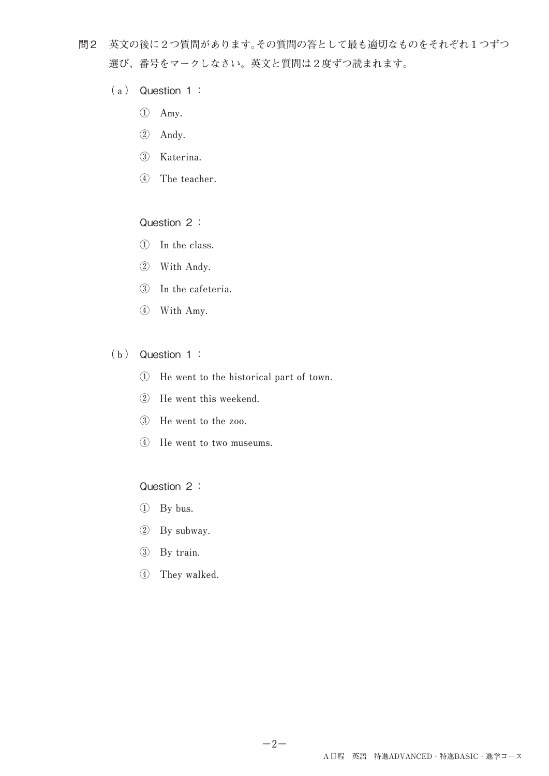- 問2 **英文の後に2つ質問があります。その質問の答として最も適切なものをそれぞれ1つずつ 選び、番号をマークしなさい。英文と質問は2度ずつ読まれます。**
	- **(a)**  Question 1:
		- **① Amy.**
		- **② Andy.**
		- **③ Katerina.**
		- **4** The teacher.

### Question 2:

- **① In the class.**
- **② With Andy.**
- **③ In the cafeteria.**
- **④ With Amy.**
- **(b)**  Question 1:
	- **① He went to the historical part of town.**
	- **(2)** He went this weekend.
	- 3 He went to the zoo.
	- **4** He went to two museums.

#### Question 2:

- **① By bus.**
- **② By subway.**
- **③ By train.**
- **④ They walked.**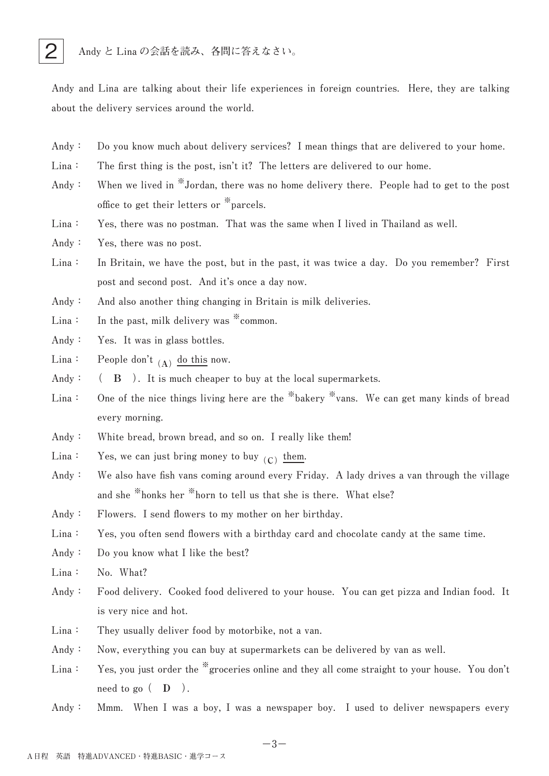

Andy and Lina are talking about their life experiences in foreign countries. Here, they are talking about the delivery services around the world.

- Andy: Do you know much about delivery services? I mean things that are delivered to your home.
- $Lina:$  The first thing is the post, isn't it? The letters are delivered to our home.
- Andy: When we lived in <sup>\*\*</sup>Jordan, there was no home delivery there. People had to get to the post **office** to get their letters or <sup>\*</sup> parcels.
- Lina: Yes, there was no postman. That was the same when I lived in Thailand as well.
- Andy: Yes, there was no post.
- Lina: In Britain, we have the post, but in the past, it was twice a day. Do you remember? First post and second post. And it's once a day now.
- Andy: And also another thing changing in Britain is milk deliveries.
- Lina: In the past, milk delivery was \* common.
- Andy: Yes. It was in glass bottles.
- $\text{Lina:}$  People don't  $\begin{bmatrix} A \end{bmatrix}$  do this now.
- Andy:  $(A \cap B)$ . It is much cheaper to buy at the local supermarkets.
- Lina: One of the nice things living here are the <sup>\*\*</sup>bakery  $*$  vans. We can get many kinds of bread **every morning.**
- Andy: White bread, brown bread, and so on. I really like them!
- $\text{Lina:}$  Yes, we can just bring money to buy  $\text{\(C)}$  them.
- Andy: We also have fish vans coming around every Friday. A lady drives a van through the village and she <sup>\*\*</sup>honks her <sup>\*\*</sup>horn to tell us that she is there. What else?
- Andy: Flowers. I send flowers to my mother on her birthday.

Lina: Yes, you often send flowers with a birthday card and chocolate candy at the same time.

- Andy: Do you know what I like the best?
- Lina: No. What?
- Andy: Food delivery. Cooked food delivered to your house. You can get pizza and Indian food. It is very nice and hot.
- Lina: They usually deliver food by motorbike, not a van.
- Andy: Now, everything you can buy at supermarkets can be delivered by van as well.
- Lina: Yes, you just order the <sup>\*\*</sup>groceries online and they all come straight to your house. You don't  $\text{need}$  to go  $($  **D**  $).$
- Andy: Mmm. When I was a boy, I was a newspaper boy. I used to deliver newspapers every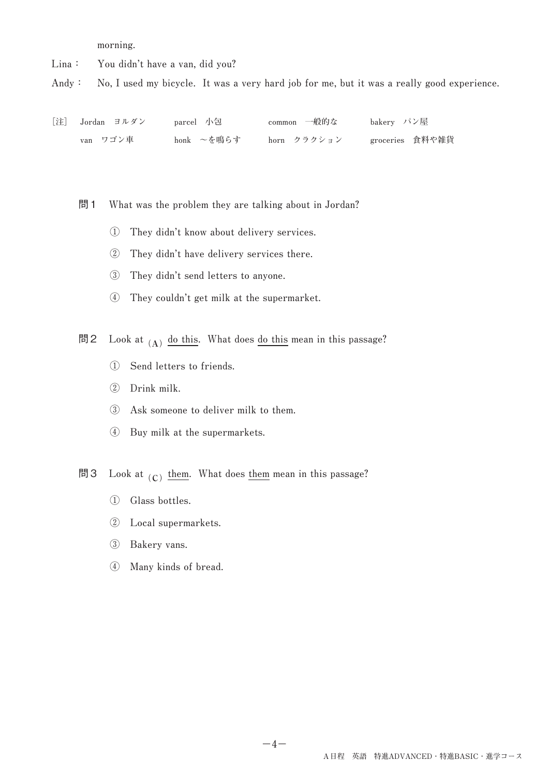**morning.**

Lina: You didn't have a van, did you?

Andy: No, I used my bicycle. It was a very hard job for me, but it was a really good experience.

| [注] Jordan ヨルダン | parcel 小包  | common 一般的な | bakery パン屋      |
|-----------------|------------|-------------|-----------------|
| van ワゴン車        | honk ~を鳴らす | horn クラクション | groceries 食料や雑貨 |

問 1 What was the problem they are talking about in Jordan?

- **① They didn't know about delivery services.**
- **② They didn't have delivery services there.**
- 3 They didn't send letters to anyone.
- **④ They couldn't get milk at the supermarket.**

問2 Look at  $\begin{array}{c} \text{(A)} \end{array}$  <u>do this</u>. What does <u>do this</u> mean in this passage?

- **① Send letters to friends.**
- **② Drink milk.**
- **3** Ask someone to deliver milk to them.
- **④ Buy milk at the supermarkets.**
- 問3 Look at  $\overline{\text{(c)}}$  <u>them</u>. What does <u>them</u> mean in this passage?
	- **① Glass bottles.**
	- **② Local supermarkets.**
	- **③ Bakery vans.**
	- **④ Many kinds of bread.**

**−4−**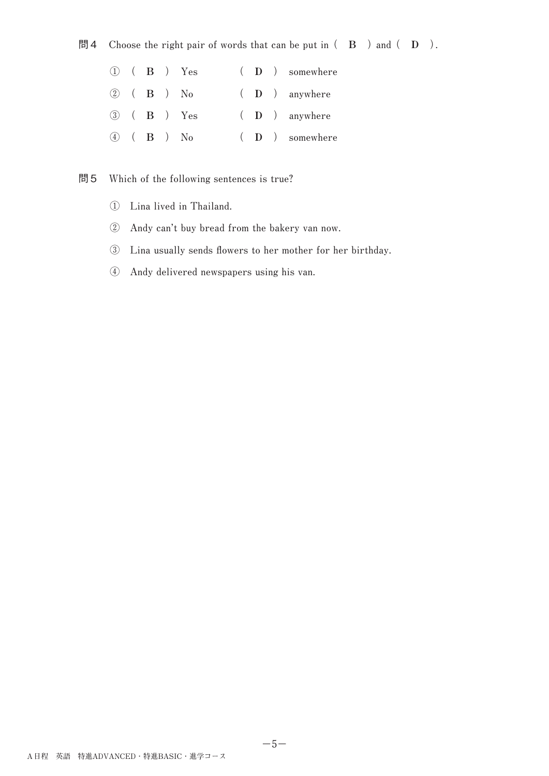### 問4 Choose the right pair of words that can be put in  $($  B  $)$  and  $($  D  $)$ .

|  |  | $(1)$ $(B)$ $Yes$           |  | $(D)$ somewhere |
|--|--|-----------------------------|--|-----------------|
|  |  | $(2)$ $(B)$ $No$            |  | $(D)$ anywhere  |
|  |  | 3 ( <b>B</b> ) Yes          |  | $(D)$ anywhere  |
|  |  | $\overline{4}$ $($ B $)$ No |  | $(D)$ somewhere |

### 問5 Which of the following sentences is true?

- **① Lina lived in Thailand.**
- **② Andy can't buy bread from the bakery van now.**
- **③ Lina usually sends flowers to her mother for her birthday.**
- **④ Andy delivered newspapers using his van.**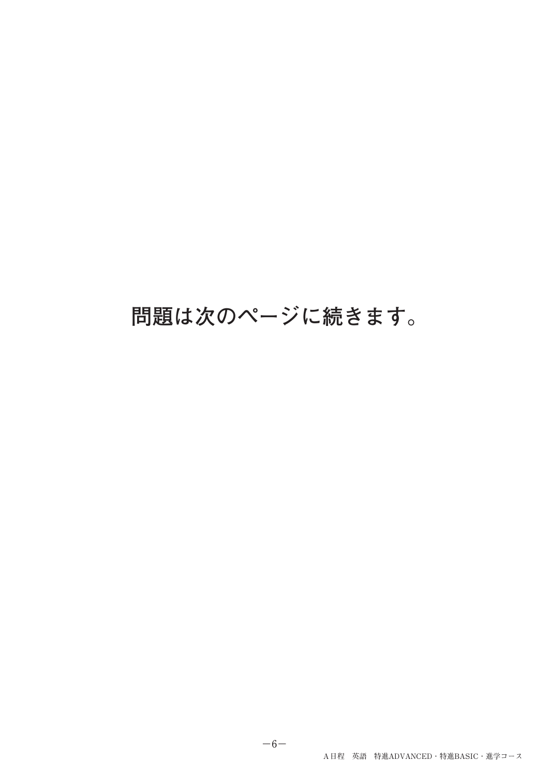## **問題は次のページに続きます。**

**−6−**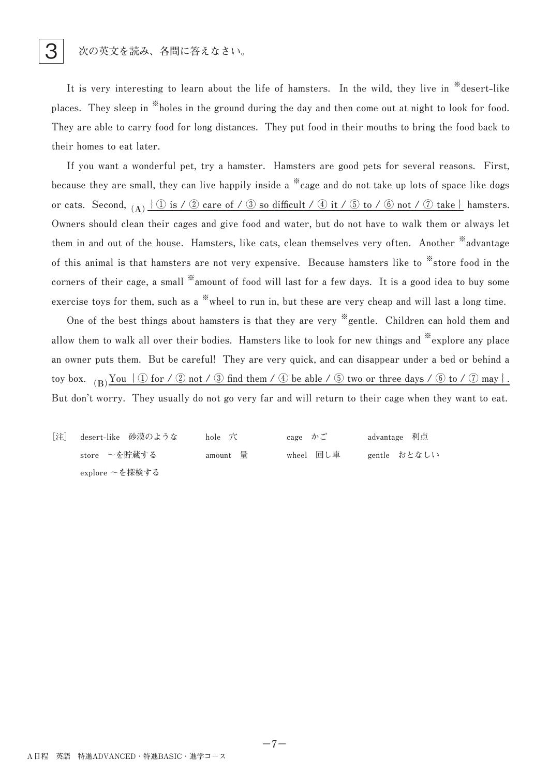It is very interesting to learn about the life of hamsters. In the wild, they live in <sup>\*</sup>\*desert-like places. They sleep in <sup>\*\*</sup>holes in the ground during the day and then come out at night to look for food. They are able to carry food for long distances. They put food in their mouths to bring the food back to their homes to eat later.

If you want a wonderful pet, try a hamster. Hamsters are good pets for several reasons. First, **because** they are small, they can live happily inside a <sup>\*\*</sup> cage and do not take up lots of space like dogs **or** cats. Second,  $(A)$   $\{ \textcircled{1}$  is  $\}$   $\emptyset$  care of  $\neq$   $\emptyset$  so difficult  $\neq$   $\emptyset$  it  $\neq$   $\emptyset$  bo  $\neq$   $\emptyset$  not  $\neq$   $\emptyset$  take  $\}$  hamsters. Owners should clean their cages and give food and water, but do not have to walk them or always let them in and out of the house. Hamsters, like cats, clean themselves very often. Another <sup>\*\*</sup>advantage of this animal is that hamsters are not very expensive. Because hamsters like to \*store food in the corners of their cage, a small <sup>\*</sup>amount of food will last for a few days. It is a good idea to buy some exercise toys for them, such as a <sup>\*\*</sup> wheel to run in, but these are very cheap and will last a long time.

One of the best things about hamsters is that they are very <sup>\*\*</sup> gentle. Children can hold them and **allow** them to walk all over their bodies. Hamsters like to look for new things and \*explore any place an owner puts them. But be careful! They are very quick, and can disappear under a bed or behind a toy box.  $(B)$   $\overline{Y}$ ou  $\{ \textcircled{1}$  for  $\neq$   $\textcircled{2}$  not  $\neq$   $\textcircled{3}$  find them  $\neq$   $\emptyset$  be able  $\neq$   $\textcircled{3}$  two or three days  $\neq$   $\textcircled{6}$  to  $\neq$   $\textcircled{7}$  may  $\}$ . But don't worry. They usually do not go very far and will return to their cage when they want to eat.

**[注] desert-like 砂漠のような hole 穴 cage かご advantage 利点 store ~を貯蔵する amount 量 wheel 回し車 gentle おとなしい explore ~を探検する**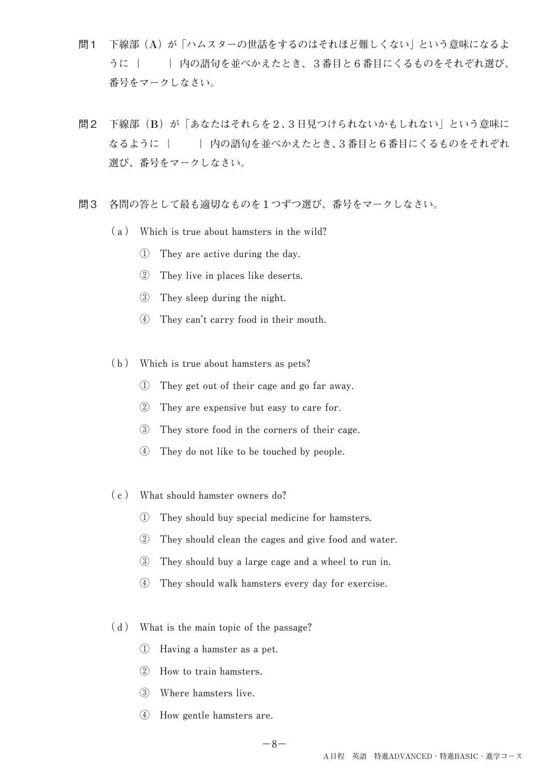- 問1 **下線部(A)が「ハムスターの世話をするのはそれほど難しくない」という意味になるよ** うに { } **内の語句を並べかえたとき、3番目と6番目にくるものをそれぞれ選び、 番号をマークしなさい。**
- 問2 **下線部(B)が「あなたはそれらを2、3日見つけられないかもしれない」という意味に なるように{ }内の語句を並べかえたとき、3番目と6番目にくるものをそれぞれ 選び、番号をマークしなさい。**
- 問3 **各問の答として最も適切なものを1つずつ選び、番号をマークしなさい。**
	- (a) Which is true about hamsters in the wild?
		- **1** They are active during the day.
		- **②** They live in places like deserts.
		- **3** They sleep during the night.
		- **4** They can't carry food in their mouth.
	- (b) Which is true about hamsters as pets?
		- **① They get out of their cage and go far away.**
		- 2 They are expensive but easy to care for.
		- **3** They store food in the corners of their cage.
		- **④ They do not like to be touched by people.**
	- **(c) What should hamster owners do?**
		- **① They should buy special medicine for hamsters.**
		- **② They should clean the cages and give food and water.**
		- **3** They should buy a large cage and a wheel to run in.
		- **4** They should walk hamsters every day for exercise.
	- (d) What is the main topic of the passage?
		- **① Having a hamster as a pet.**
		- **② How to train hamsters.**
		- **③ Where hamsters live.**
		- **④ How gentle hamsters are.**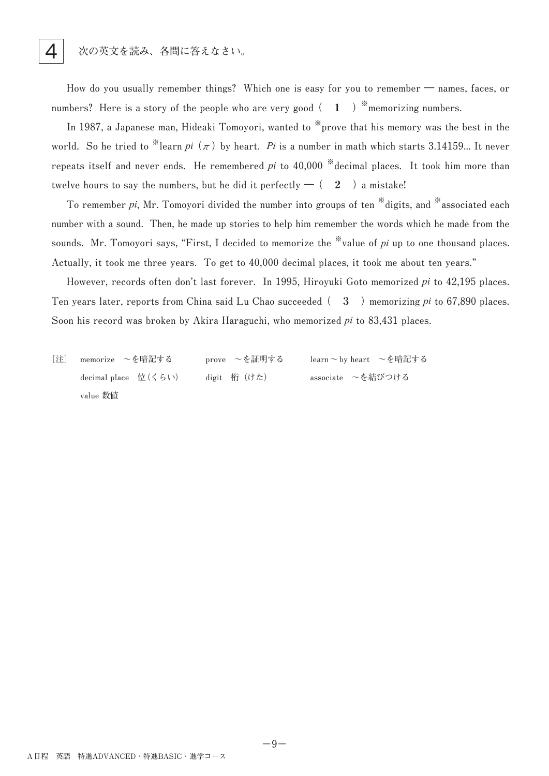How do you usually remember things? Which one is easy for you to remember — names, faces, or **numbers?** Here is a story of the people who are very good  $( 1 )$  \* memorizing numbers.

In 1987, a Japanese man, Hideaki Tomoyori, wanted to <sup>\*\*</sup>prove that his memory was the best in the world. So he tried to <sup>\*\*</sup>learn  $pi$ <sup></sup> ( $\pi$ ) by heart. Pi is a number in math which starts 3.14159... It never **repeats** itself and never ends. He remembered *pi* to 40,000 \*decimal places. It took him more than twelve hours to say the numbers, but he did it perfectly  $-(-2)$  a mistake!

To remember *pi*, Mr. Tomoyori divided the number into groups of ten <sup>\*\*</sup>digits, and <sup>\*\*</sup>associated each number with a sound. Then, he made up stories to help him remember the words which he made from the sounds. Mr. Tomoyori says, "First, I decided to memorize the  $\frac{1}{2}$  value of *pi* up to one thousand places. Actually, it took me three years. To get to 40,000 decimal places, it took me about ten years."

However, records often don't last forever. In 1995, Hiroyuki Goto memorized *pi* to 42,195 places. Ten years later, reports from China said Lu Chao succeeded  $( 3 )$  memorizing *pi* to 67,890 places. Soon his record was broken by Akira Haraguchi, who memorized *pi* to 83,431 places.

**[注] memorize ~を暗記する prove ~を証明する learn~by heart ~を暗記する** decimal place 位(くらい) digit 桁(けた) associate ~を結びつける **value 数値**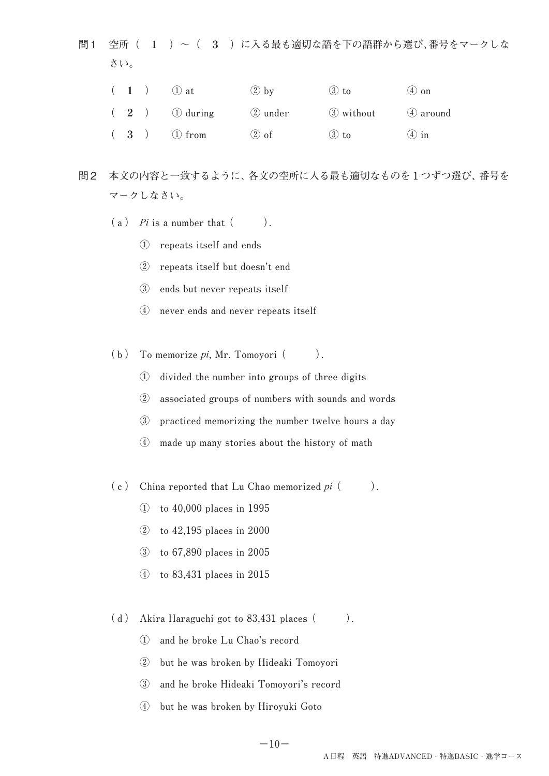問1 **空所( 1 )~( 3 )に入る最も適切な語を下の語群から選び、番号をマークしな さい。**

|  | $(1)$ $(1)$ at | $(2)$ by | $(3)$ to           | $(4)$ on |
|--|----------------|----------|--------------------|----------|
|  | $(2)$ 1 during | 2 under  | 3 without 4 around |          |
|  | $(3)$ 1 from   | $(2)$ of | $(3)$ to           | $(4)$ in |

- 問2 **本文の内容と一致するように、各文の空所に入る最も適切なものを1つずつ選び、番号を マークしなさい。**
	- $(a)$  *Pi* is a number that  $($ ).
		- **① repeats itself and ends**
		- **② repeats itself but doesn't end**
		- **③ ends but never repeats itself**
		- **④ never ends and never repeats itself**
	- $(b)$  To memorize  $pi$ , Mr. Tomoyori  $($ ).
		- **① divided the number into groups of three digits**
		- **② associated groups of numbers with sounds and words**
		- **3** practiced memorizing the number twelve hours a day
		- **4** made up many stories about the history of math
	- $(c)$  China reported that Lu Chao memorized *pi*  $($ 
		- **① to 40,000 places in 1995**
		- **② to 42,195 places in 2000**
		- **③ to 67,890 places in 2005**
		- **④ to 83,431 places in 2015**
	- $(d)$  Akira Haraguchi got to 83,431 places  $($ ).
		- **① and he broke Lu Chao's record**
		- 2 but he was broken by Hideaki Tomoyori
		- 3 and he broke Hideaki Tomoyori's record
		- **④ but he was broken by Hiroyuki Goto**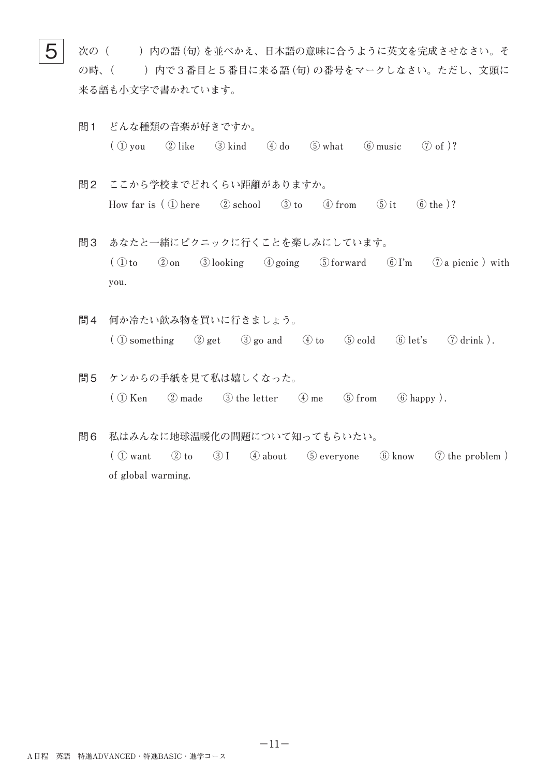$\mathbf{5} \models$  次の( )内の語(句)を並べかえ、日本語の意味に合うように英文を完成させなさい。そ **の時、( )内で3番目と5番目に来る語(句)の番号をマークしなさい。ただし、文頭に 来る語も小文字で書かれています。**

- 問1 **どんな種類の音楽が好きですか。**  $\left(\begin{array}{ccc} \textcircled{1} \text{ you} & \textcircled{2} \text{ like} & \textcircled{3} \text{ kind} & \textcircled{4} \text{ do} & \textcircled{5} \text{ what} & \textcircled{6} \text{ music} & \textcircled{7} \text{ of} \end{array} \right)$ ?
- 問2 **ここから学校までどれくらい距離がありますか。** How far is  $( \Omega )$  here  $( \Omega )$  school  $( \Omega )$  to  $( \Omega )$  from  $( \overline{ \Omega } )$  it  $( \overline{ \Theta } )$  the  $)$ ?
- 問3 **あなたと一緒にピクニックに行くことを楽しみにしています。**  $\left(\begin{array}{ccc} \mathbb{O} & \mathbb{O} & \mathbb{O} \\ \mathbb{O} & \mathbb{O} & \mathbb{O} \end{array}\right)$  a picnic  $\mathbb{O}$  and  $\mathbb{O} & \mathbb{O} & \mathbb{O} \end{array}$  a picnic  $\mathbb{O}$  with **you.**
- 問4 **何か冷たい飲み物を買いに行きましょう。**  $\overline{(\text{1})}$  something  $\overline{(\text{2})}$  get  $\overline{(\text{3})}$  go and  $\overline{(\text{4})}$  to  $\overline{(\text{5})}$  cold  $\overline{(\text{6})}$  let's  $\overline{(\text{7})}$  drink ).
- 問5 **ケンからの手紙を見て私は嬉しくなった。**  $\left(\begin{array}{ccc} 0 & \text{Ken} \\ \end{array}\right)$   $\left(\begin{array}{ccc} 0 & \text{made} \\ \end{array}\right)$   $\left(\begin{array}{ccc} 0 & \text{the letter} \\ \end{array}\right)$   $\left(\begin{array}{ccc} 0 & \text{from} \\ \end{array}\right)$   $\left(\begin{array}{ccc} 0 & \text{happy} \\ \end{array}\right)$ .
- 問6 **私はみんなに地球温暖化の問題について知ってもらいたい。**  $\left(\begin{array}{ccc} \textcircled{1} \text{ want} & \textcircled{2} \text{ to} & \textcircled{3} \text{ I} & \textcircled{4} \text{ about} & \textcircled{5} \text{ everywhere} & \textcircled{6} \text{ know} & \textcircled{7} \text{ the problem} \end{array}\right)$ of global warming.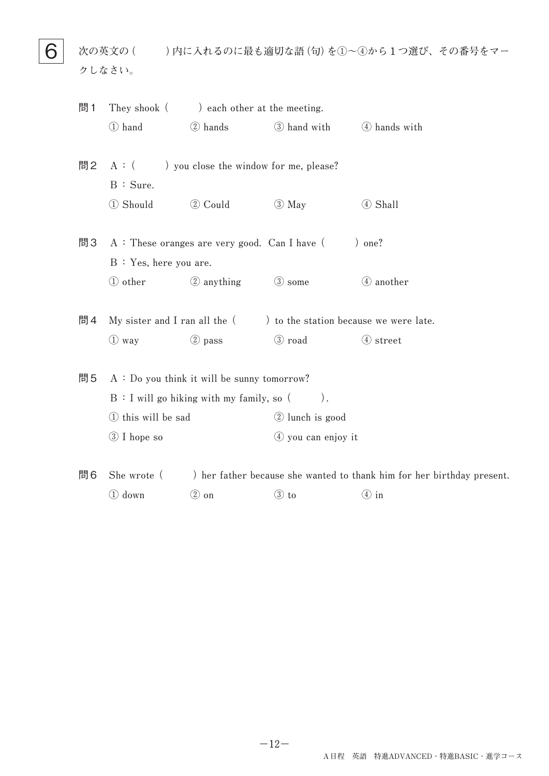**6** 次の英文の()内に入れるのに最も適切な語(句)を①~④から1つ選び、その番号をマー **クしなさい。**

| 問1 | They shook (          | ) each other at the meeting.                   |                                                                          |                                                                        |
|----|-----------------------|------------------------------------------------|--------------------------------------------------------------------------|------------------------------------------------------------------------|
|    | 1 hand                | 2 hands                                        | 3 hand with 4 hands with                                                 |                                                                        |
| 問2 |                       | $A:$ ( ) you close the window for me, please?  |                                                                          |                                                                        |
|    | B : Sure.             |                                                |                                                                          |                                                                        |
|    | 1 Should              | 2 Could                                        | $\circled{3}$ May                                                        | 4 Shall                                                                |
| 問3 |                       | $A:$ These oranges are very good. Can I have ( |                                                                          | ) one?                                                                 |
|    | B: Yes, here you are. |                                                |                                                                          |                                                                        |
|    | 1 other               | 2 anything                                     | 3 some                                                                   | 4 another                                                              |
| 問4 |                       |                                                | My sister and I ran all the $($ $)$ to the station because we were late. |                                                                        |
|    | $\bigcirc$ way        | 2 pass                                         | 3 road                                                                   | 4 street                                                               |
| 問5 |                       | $A:$ Do you think it will be sunny tomorrow?   |                                                                          |                                                                        |
|    |                       | B: I will go hiking with my family, so (       | $)$ .                                                                    |                                                                        |
|    | 1) this will be sad   |                                                | 2 lunch is good                                                          |                                                                        |
|    | 3 I hope so           |                                                | $(4)$ you can enjoy it                                                   |                                                                        |
| 問6 | She wrote (           |                                                |                                                                          | ) her father because she wanted to thank him for her birthday present. |

**1** down **2** on **3** to **4** in

**−12−**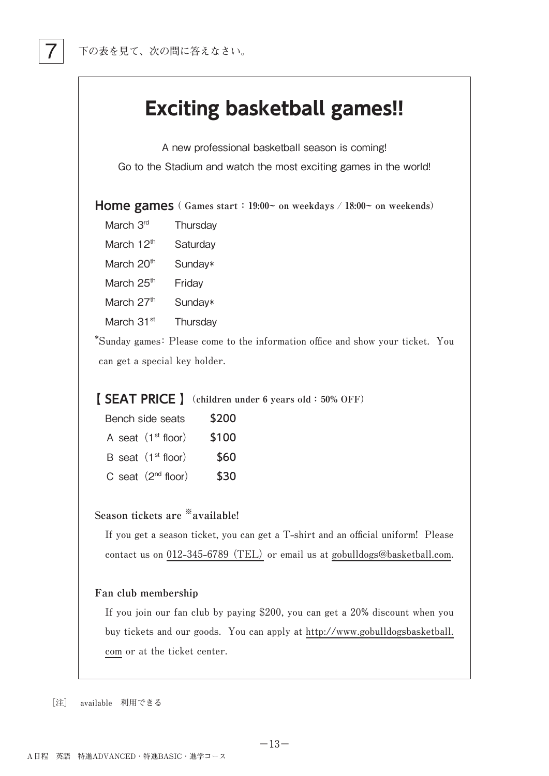

A new professional basketball season is coming! Go to the Stadium and watch the most exciting games in the world!

**Home games ( Games start : 19:00~ on weekdays / 18:00~ on weekends)**

- March 3<sup>rd</sup> Thursday
- March 12<sup>th</sup> Saturday

March  $20<sup>th</sup>$  Sunday\*

March 25<sup>th</sup> Friday

March  $27<sup>th</sup>$  Sunday\*

March 31<sup>st</sup> Thursday

\*Sunday games: Please come to the information office and show your ticket. You can get a special key holder.

### **【 SEAT PRICE 】(children under 6 years old: 50% OFF)**

| \$200 | Bench side seats        |  |
|-------|-------------------------|--|
| \$100 | A seat $(1st floor)$    |  |
| \$60  | B seat $(1st floor)$    |  |
| \$30  | C seat $(2^{nd}$ floor) |  |

### **Season tickets are ※available!**

If you get a season ticket, you can get a T-shirt and an official uniform! Please contact us on 012-345-6789 (TEL) or email us at gobulldogs@basketball.com.

### **Fan club membership**

If you join our fan club by paying \$200, you can get a 20% discount when you buy tickets and our goods. You can apply at http://www.gobulldogsbasketball. com or at the ticket center.

**−13−**

**[注] available 利用できる**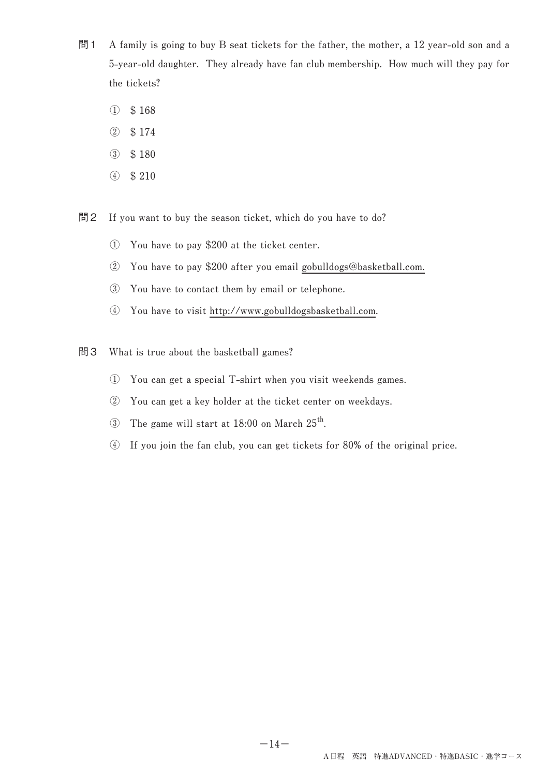- 問1 A family is going to buy B seat tickets for the father, the mother, a 12 year-old son and a **5-year-old daughter.** They already have fan club membership. How much will they pay for the tickets?
	- **① \$ 168**
	- **② \$ 174**
	- **③ \$ 180**
	- **④ \$ 210**

問2 If you want to buy the season ticket, which do you have to do?

- **① You have to pay \$200 at the ticket center.**
- **②** You have to pay \$200 after you email gobulldogs@basketball.com.
- **3** You have to contact them by email or telephone.
- **④ You have to visit http://www.gobulldogsbasketball.com.**
- 問3 What is true about the basketball games?
	- **① You can get a special T-shirt when you visit weekends games.**
	- **② You can get a key holder at the ticket center on weekdays.**
	- 3 The game will start at 18:00 on March 25<sup>th</sup>.
	- **④ If you join the fan club, you can get tickets for 80% of the original price.**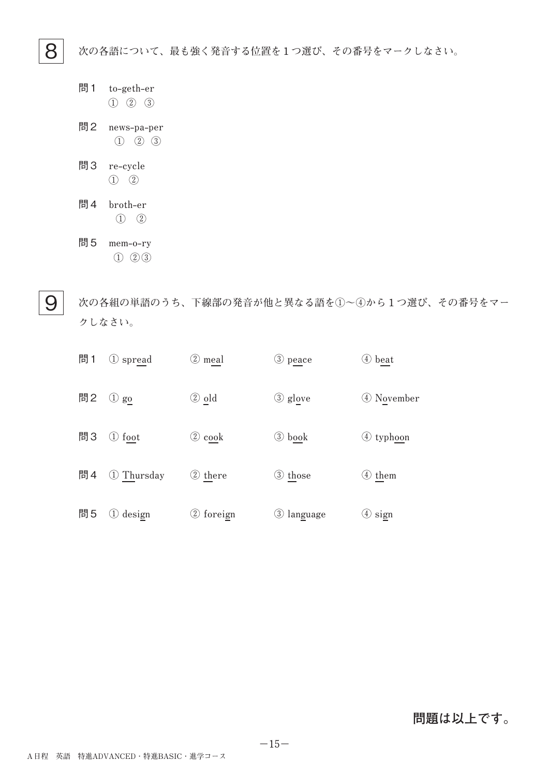8 **次の各語について、最も強く発音する位置を1つ選び、その番号をマークしなさい。**

- 問1 **t ① ② ③ o-g eth-e r**
- 問2 **n ews-p a-p er ① ② ③**
- 問3 **r e-c ycle ① ②**
- 問4 **b roth-e r ① ②**
- 問5 **m em-o -r y ① ② ③**

9  **次の各組の単語のうち、下線部の発音が他と異なる語を①~④から1つ選び、その番号をマー クしなさい。**

| 問1 | ① spread      | 2 meal             | 3 peace    | 4 beat     |
|----|---------------|--------------------|------------|------------|
| 問2 | $\bigcirc$ go | ② old              | 3 glove    | 4 November |
| 問3 | ① foot        | $\circled{2}$ cook | 3 book     | 4 typhoon  |
| 問4 | 1 Thursday    | 2 there            | 3 those    | 4 them     |
| 問5 | 1 design      | 2 foreign          | 3 language | $(4)$ sign |

### **問題は以上です。**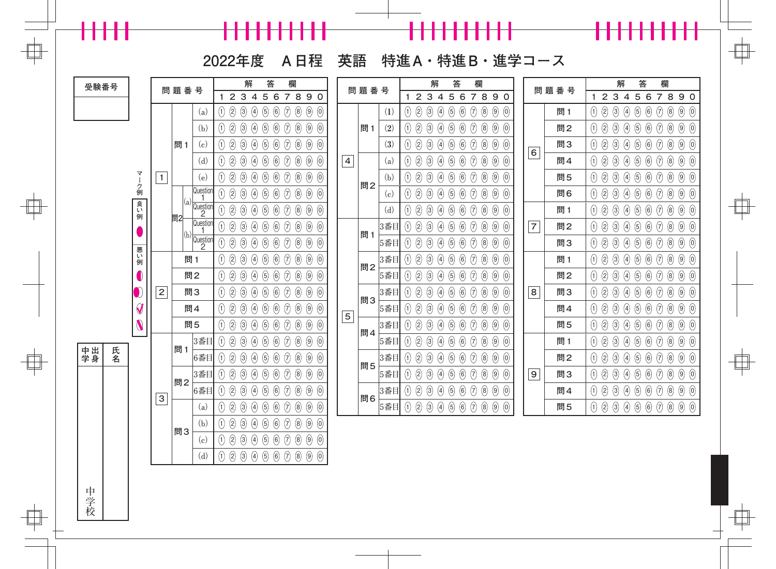╂╂╂╂╂╂╂╂╂╂

╂╂╂╂╂

 $\begin{array}{c} \begin{array}{c} \begin{array}{c} \end{array} \end{array} \end{array}$ 

 $\Box$ 

**2022年度 A日程 英語 特進A・特進B・進学コース**

{<mark>-{-{-{-{-}-}-}-}-}</mark>

┝╂╂╂╂╂

 $\Box$ 

f

| 受験番号           |                                                |                           | 問題番号 |                                                   | 解                                                                             | 答                              | 欄                                                   |                                                  |                | 問題番号                    |                                  | 解                | 答                               |                                        | 欄                 |                                     |                | 問題番号 |                   | 解                              |            | 答                                                         |            | 欄                                                                                                                                                                                                                                                                                                                                                   |                                  |
|----------------|------------------------------------------------|---------------------------|------|---------------------------------------------------|-------------------------------------------------------------------------------|--------------------------------|-----------------------------------------------------|--------------------------------------------------|----------------|-------------------------|----------------------------------|------------------|---------------------------------|----------------------------------------|-------------------|-------------------------------------|----------------|------|-------------------|--------------------------------|------------|-----------------------------------------------------------|------------|-----------------------------------------------------------------------------------------------------------------------------------------------------------------------------------------------------------------------------------------------------------------------------------------------------------------------------------------------------|----------------------------------|
|                |                                                |                           |      |                                                   | 3 4 5<br>$\overline{2}$<br>1                                                  | 6                              | 7890                                                |                                                  |                |                         | $\mathbf{2}$                     | $\mathbf{3}$     | $\overline{4}$<br>$\mathbf 5$   | 6                                      |                   | 7890                                |                |      |                   | 2 3 4                          |            | 567890                                                    |            |                                                                                                                                                                                                                                                                                                                                                     |                                  |
|                |                                                |                           |      | (a)                                               | $\circled{3}$<br>$\bigcirc$<br>$\left( \frac{1}{2} \right)$<br>$\circled{2}$  | $\circled{5}$<br>$\circled{6}$ | $\Theta$<br>$\circled{8}$                           | $\circled{9}$<br>$\odot$                         |                | (1)                     | $\circledS$<br>$\left( 1\right)$ | $\circled{3}$    | $\circled{5}$<br>$\bigcirc$     | $_{\text{\small{6}}}$<br>$\circled{)}$ | $\left( 8\right)$ | $\circled{9}$<br>$\odot$            |                | 問1   | $\left( 1\right)$ | $\circled{3}$<br>$\circled{2}$ | $\bigcirc$ | $\odot$<br>$\circled{6}$                                  | $\Theta$   | $\circled{6}$                                                                                                                                                                                                                                                                                                                                       | $\circled{9}$<br>$\circled{0}$   |
|                |                                                |                           |      | (b)                                               | 2<br>$\bigcirc$<br>$\circled{3}$<br>$\left( \frac{1}{2} \right)$              | $\circled{6}$<br>$\circled{5}$ | $\Theta$<br>$\circledS$                             | $\circled{9}$<br>$\odot$                         |                | $\left( 2\right)$<br>問1 | 2                                | $\left(3\right)$ | $\bigcirc$<br>$\bigcirc$        | $_{\text{\small{6}}}$<br>$\Theta$      | $\circledS$       | $\circled{9}$<br>$\left( 0 \right)$ |                | 問2   | $\left( 1\right)$ | $\bigcirc$<br>$\circledS$      | $\bigcirc$ | $\circled{6}$<br>$\odot$                                  | $\bigcirc$ | $\circledS$                                                                                                                                                                                                                                                                                                                                         | $\circledtheta$<br>$\circled{0}$ |
|                |                                                |                           | 問1   | (c)                                               | $\circledS$<br>$\left( \frac{1}{2} \right)$<br>$\circled{3}$<br>$\bigcirc$    | $\circled{6}$<br>$\odot$       | $\Theta$<br>$\circledS$                             | $\circled{9}$<br>$\begin{matrix} 0 \end{matrix}$ |                | (3)                     | $\circledS$                      | $\circled{3}$    | $\bigcirc$<br>5                 | $\Theta$<br>$\bigcirc$                 | $\circledS$       | $\circled{9}$<br>$\odot$            |                | 問3   | $\left( 1\right)$ | $\circledS$<br>$\bigcirc$      | $\bigcirc$ | $\bigcirc$<br>$\circled6$                                 | $\Theta$   | $\circledS$                                                                                                                                                                                                                                                                                                                                         | $\circledtheta$<br>$\odot$       |
|                |                                                |                           |      | (d)                                               | 2<br>$\Theta$<br>$\circled{3}$<br>$\bigcirc$                                  | $\circled{6}$<br>$\circledS$   | $\Theta$<br>$\circledS$                             | $\circled{9}$<br>$\odot$                         | $\overline{4}$ | (a)                     | 2<br>(1)                         | $\circled{3}$    | $\bigcirc$<br>$\circledg$       | $_{\text{\small{6}}}$<br>$\Theta$      | $\circledS$       | $\circled{9}$<br>$\odot$            | 6              | 問4   | $\left( 1\right)$ | $\circledS$<br>$\bigcirc$      | $\bigcirc$ | $\odot$<br>$\circled6$                                    | $\Theta$   | $\circledS$                                                                                                                                                                                                                                                                                                                                         | $\circled{9}$<br>$\odot$         |
|                | ₹                                              | $\mathbf{1}$              |      | (e)                                               | $\circledS$<br>$\left( \frac{1}{2} \right)$<br>$\left(3\right)$<br>$\bigcirc$ | $\bigcirc$<br>$\odot$          | $\circledS$<br>$\Theta$                             | $\circled{9}$<br>$\left( 0 \right)$              |                | (b)                     | 2                                | $\left(3\right)$ | $\bigcirc$<br>5                 | $\bigcirc$<br>$\bigcirc$               | $\circledS$       | $\circled{9}$<br>$\left( 0 \right)$ |                | 問5   | $\left( 1\right)$ | $\circledS$<br>$\bigcirc$      | $\bigcirc$ | $\circled6$<br>$\bigcirc$                                 | $\Theta$   | $\circledS$                                                                                                                                                                                                                                                                                                                                         | $\circledtheta$<br>$\odot$       |
|                | ク<br>例                                         |                           |      | Question<br>-1                                    | $\bigcirc$<br>2<br>$\bigcirc$<br>$\bigcirc$                                   | $\bigcirc$<br>$\bigcirc$       | $\circledS$<br>$\odot$                              | $\circled{9}$<br>$\circled0$                     |                | 問2<br>(c)               | $\circledS$<br>(1)               | $\odot$          | $\bigcirc$<br>$\bigcirc$        | $_{\text{\small{6}}}$<br>$\Theta$      | $\circledS$       | $\circled{9}$<br>$\odot$            |                | 問6   | $\left( 1\right)$ | $\bigcirc$<br>$\circledS$      | $\bigcirc$ | $\circled6$<br>$\odot$                                    | $\Theta$   | $\circledS$                                                                                                                                                                                                                                                                                                                                         | $\circled{9}$<br>$\circled{0}$   |
|                | 良い例                                            |                           |      | $\left  \begin{array}{c} (a) \end{array} \right $ | 2<br>$\Theta$<br>$\bigcirc$<br>$\bigcirc$                                     | $\bigcirc$<br>$\left(5\right)$ | $\circledS$                                         | $\circled{9}$<br>$\odot$                         |                | (d)                     | 2                                | $\left(3\right)$ | $\bigcirc$<br>$\left( 5\right)$ | $\bigcirc$<br>$\Theta$                 | $\circledS$       | $\circled{9}$<br>$\odot$            |                | 問1   | $\left( 1\right)$ | $\circledS$<br>$\bigcirc$      | $\bigcirc$ | $\left(5\right)$<br>$\bigcirc$                            | $\Theta$   | $\circledS$                                                                                                                                                                                                                                                                                                                                         | $\circledtheta$<br>$\circled{0}$ |
|                |                                                |                           | 問2   | Question<br>-1                                    | ②<br>$\Theta$<br>$\bigcirc$<br>$\bigcirc$                                     | $\bigcirc$<br>$\bigcirc$       | $\circledS$<br>$\odot$                              | $\circled{9}$<br>$\circled0$                     |                | 3番目                     | $\odot$                          | (3)              | 5<br>$\bigcirc$                 | $\Theta$<br>$\bigcirc$                 | $\circledS$       | $\circled{9}$<br>$\odot$            | $\overline{7}$ | 問2   | $\left( 1\right)$ | $\bigcirc$<br>$\circledS$      | $\bigcirc$ | $\circled6$<br>$\odot$                                    | $\Theta$   | $\circledS$                                                                                                                                                                                                                                                                                                                                         | $\circled{9}$<br>$\odot$         |
|                |                                                |                           |      | $(b)$ Question                                    | $^{\circledR}$<br>$\Theta$<br>$\bigcirc$<br>$\bigcirc$                        | $\bigcirc$<br>$\bigcirc$       | $\Theta$<br>$\circledS$                             | $\circled{9}$<br>$\circled0$                     |                | 問1<br>5番目               | $\odot$                          | $\left(3\right)$ | $\left( 5\right)$<br>$\bigcirc$ | $\bigcirc$<br>$\bigcirc$               | $\circledS$       | $\circled{9}$<br>$\left( 0 \right)$ |                | 問3   | $\left( 1\right)$ | $\circledS$<br>$\bigcirc$      | $\bigcirc$ | $\circled6$<br>$\bigcirc$                                 | $\Theta$   | $\circledS$                                                                                                                                                                                                                                                                                                                                         | $\circledtheta$<br>$\odot$       |
|                | 悪い<br>例                                        |                           | 問1   |                                                   | 2<br>$\left( 1\right)$<br>$\circled{3}$<br>$\bigcirc$                         | $\circled{5}$<br>$\circled{6}$ | $\circledS$<br>$\Theta$                             | $\circled{9}$<br>$\odot$                         |                | 3番目                     | $\left( 2\right)$                | $\left(3\right)$ | $\odot$<br>$\bigcirc$           | $\bigcirc$<br>$\circled{7}$            | $\circledS$       | $\circled{9}$<br>$\odot$            |                | 問1   | $\left( 1\right)$ | $\circledS$<br>$\bigcirc$      | $\bigcirc$ | $\odot$<br>$\circled6$                                    | $\Theta$   | $\circledS$                                                                                                                                                                                                                                                                                                                                         | $\circled{9}$<br>$\circled{0}$   |
|                |                                                |                           |      | 問2                                                | 2<br>$\bigcirc$<br>$\bigcirc$<br>$\left( \frac{1}{2} \right)$                 | $\circled{6}$<br>$\odot$       | $\Theta$<br>$\circledS$                             | $\circled{9}$<br>$\left( 0 \right)$              |                | 問2<br>5番目               | $\left( 2\right)$                | $\left(3\right)$ | $\bigcirc$<br>$\left( 5\right)$ | $\Theta$<br>$\bigcirc$                 | $\circledS$       | $\circled{9}$<br>$\left( 0 \right)$ |                | 問2   | $\left( 1\right)$ | $\circledS$<br>$\bigcirc$      | $\bigcirc$ | $\bigcirc$<br>$\circled6$                                 | $\Theta$   | $\circledS$                                                                                                                                                                                                                                                                                                                                         | $\circledtheta$<br>$\odot$       |
|                | $\mathbf{I}% _{0}\left( \mathbf{I}_{1}\right)$ | $\sqrt{2}$                |      | 問3                                                | 2<br>$\circledS$<br>$\bigcirc$<br>(1)                                         | $\circled{6}$<br>$\circled{5}$ | $\Theta$<br>$\circledS$                             | $\circled{9}$<br>$\odot$                         |                | 3番目                     | $\odot$                          | (3)              | 5<br>$\bigcirc$                 | $\Theta$<br>$\bigcirc$                 | $\circledS$       | $\circled{9}$<br>$\odot$            | 8              | 問3   | $\left( 1\right)$ | $\circledS$<br>$\bigcirc$      | $\bigcirc$ | $\circled6$<br>$\odot$                                    | $\Theta$   | $\circledS$                                                                                                                                                                                                                                                                                                                                         | $\circled{9}$<br>$\odot$         |
|                | $\mathcal Q$                                   |                           |      | 問4                                                | 2<br>$\circled{3}$<br>$\left( \frac{1}{2} \right)$<br>$\bigcirc$              | $\circled{6}$<br>$\odot$       | $\circledS$<br>$\odot$                              | $\circled{9}$<br>$\odot$                         |                | 問3<br>5番目               | $\left( 2\right)$                | $\left(3\right)$ | $\bigcirc$<br>$\left( 5\right)$ | $\bigcirc$<br>$\bigcirc$               | $\circledS$       | $\circled{9}$<br>$\left( 0 \right)$ |                | 問4   | $\left( 1\right)$ | $\circledS$<br>$\bigcirc$      | $\bigcirc$ | $\bigcirc$<br>$\circled{6}$                               | $\Theta$   | $\circledS$                                                                                                                                                                                                                                                                                                                                         | $\circledtheta$<br>$\odot$       |
|                | $\boldsymbol{\theta}$                          |                           |      | 問5                                                | 2<br>$\left( \frac{1}{2} \right)$<br>$\circled{3}$<br>$\bigcirc$              | $\circled{6}$<br>$\circled{5}$ | $\Theta$<br>$\circledS$                             | $\circled{9}$<br>$\circled{0}$                   | ${\bf 5}$      | 3番目                     | $\left( 2\right)$                | (3)              | 5<br>$\bigcirc$                 | $\Theta$<br>$\bigcirc$                 | $\circledS$       | $\circled{9}$<br>$\odot$            |                | 問5   | $\left( 1\right)$ | $\bigcirc$<br>$\circledS$      | $\bigcirc$ | $\circled6$<br>$\odot$                                    | $\Theta$   | $\circledS$                                                                                                                                                                                                                                                                                                                                         | $\circled{9}$<br>$\odot$         |
|                |                                                |                           |      | 3番目                                               | 2<br>$\left( \frac{1}{2} \right)$<br>3<br>$\bigcirc$                          | $\odot$<br>$\bigcirc$          | $\circledS$<br>$\bigcirc$                           | $\circled{9}$<br>$\left( 0 \right)$              |                | 問4<br>5番目               | $\left( 2\right)$                | (3)              | $\bigcirc$                      | $\bigcirc$<br>$\bigcirc$               | $\circledS$       | $\circled{9}$<br>$\left( 0 \right)$ |                | 問1   | $\left( 1\right)$ | $\circledS$<br>$\bigcirc$      | $\bigcirc$ | $\bigcirc$<br>$\circled6$                                 | $\Theta$   | $\circledS$                                                                                                                                                                                                                                                                                                                                         | $\circledtheta$<br>$\odot$       |
| 中出<br>学身<br>氏名 |                                                |                           | 問1   | 6番目                                               | $\rm (2)$<br>$\left(3\right)$<br>$\bigcirc$<br>(1)                            | $\bigcirc$<br>$\odot$          | $\Theta$<br>$\circledS$                             | $\circled{9}$<br>$\circled0$                     |                | 3番目                     | $\left( 2\right)$                | (3)              | 5<br>$\bigcirc$                 | $\Theta$<br>$\bigcirc$                 | $\circledS$       | $\circled{9}$<br>$\left( 0 \right)$ |                | 問2   | $\left( 1\right)$ | $\bigcirc$<br>$\circledS$      | $\bigcirc$ | $\circled{5}$<br>$\circled6$                              | $\Theta$   | $\circledS$                                                                                                                                                                                                                                                                                                                                         | $\circled{9}$<br>$\odot$         |
|                |                                                |                           |      | 3番目                                               | $\circledS$<br>$\begin{pmatrix} 4 \end{pmatrix}$<br>(1)                       | $\bigcirc$<br>$\left(5\right)$ | $\circledS$                                         | $\circled{9}$<br>$\left( 0 \right)$              |                | 問5<br>5番目               | $\left( 2\right)$                | $\left(3\right)$ | $\bigcirc$<br>$\bigcirc$        | $\bigcirc$<br>$\bigcirc$               | $\circledS$       | $\circled{9}$<br>$\odot$            | $\mathsf 9$    | 問3   | $\left( 1\right)$ | $\circledS$<br>$\bigcirc$      | $\bigcirc$ | $\circled{5}$<br>$\circled{6}$                            | $\Theta$   | $\circledS$                                                                                                                                                                                                                                                                                                                                         | $\circledtheta$<br>$\odot$       |
|                |                                                |                           | 問2   | 6番目                                               | 2<br>$\circled{3}$<br>$\bigcirc$<br>(1)                                       | $\circled{6}$<br>$\odot$       | $\Theta$<br>$\circledS$                             | $\circled{9}$<br>$\circled0$                     |                | 3番目                     | $\circledS$<br>(1)               | $\circled{3}$    | $\circledS$<br>$\bigcirc$       | $_{\text{\small{6}}}$<br>$\Theta$      | $\circledS$       | $\circled{9}$<br>$\odot$            |                | 問4   | $\left( 1\right)$ | $\circledS$<br>$\bigcirc$      | $\bigcirc$ | $\circled{5}$<br>$\circled6$                              | $\bigcirc$ | $\circledS$                                                                                                                                                                                                                                                                                                                                         | $\circledS$<br>$\odot$           |
|                |                                                | $\ensuremath{\mathsf{3}}$ |      | (a)                                               | $\circledS$<br>$\left(3\right)$<br>$\bigcirc$                                 | $\bigcirc$                     | $\Theta$<br>$\circledS$                             | $\circled{9}$                                    |                | 問6<br>5番目               | $\circledS$                      | $\circled{3}$    | $\bigcirc$<br>$\circledS$       | $\circledast$<br>$\Theta$              | $\circledS$       | $\circled{9}$<br>$\odot$            |                | 問5   | $(1)$ $(2)$       | $\odot$                        | $\bigcirc$ | $\begin{array}{c} \boxed{5} \end{array}$<br>$\circled{6}$ | $\Theta$   | $\begin{picture}(20,20) \put(0,0){\line(1,0){10}} \put(15,0){\line(1,0){10}} \put(15,0){\line(1,0){10}} \put(15,0){\line(1,0){10}} \put(15,0){\line(1,0){10}} \put(15,0){\line(1,0){10}} \put(15,0){\line(1,0){10}} \put(15,0){\line(1,0){10}} \put(15,0){\line(1,0){10}} \put(15,0){\line(1,0){10}} \put(15,0){\line(1,0){10}} \put(15,0){\line(1$ | $\circledtheta$<br>$\circled{0}$ |
|                |                                                |                           |      | (b)                                               | $\left( 1\right)$<br>2                                                        | $\odot$                        | $\circledcirc$<br>$\circledS$                       | $\odot$                                          |                |                         | $\left( \frac{1}{2} \right)$     |                  |                                 |                                        |                   |                                     |                |      |                   |                                |            |                                                           |            |                                                                                                                                                                                                                                                                                                                                                     |                                  |
|                |                                                |                           | 問3   |                                                   | $\circled{3}$<br>$\bigcirc$<br>$\left( \frac{1}{2} \right)$                   | $\circled6$<br>$\circled{5}$   |                                                     | $\circled{9}$<br>$\circled0$                     |                |                         |                                  |                  |                                 |                                        |                   |                                     |                |      |                   |                                |            |                                                           |            |                                                                                                                                                                                                                                                                                                                                                     |                                  |
|                |                                                |                           |      | (c)                                               | $\circledS$<br>$\circled{3}$<br>$\bigcirc$<br>$\left( \frac{1}{2} \right)$    | $\odot$<br>$\circled{5}$       | $\Theta$<br>$\circledS$                             | $\circled{9}$<br>$\odot$                         |                |                         |                                  |                  |                                 |                                        |                   |                                     |                |      |                   |                                |            |                                                           |            |                                                                                                                                                                                                                                                                                                                                                     |                                  |
|                |                                                |                           |      | (d)                                               | $\circled{2}$<br>$\circled{3}$<br>$\bigcirc$<br>$\Theta$                      | $\odot$<br>$\circled{6}$       | $\Theta$<br>$\begin{matrix} \boxed{8} \end{matrix}$ | $\circled{9}$<br>$\circled{0}$                   |                |                         |                                  |                  |                                 |                                        |                   |                                     |                |      |                   |                                |            |                                                           |            |                                                                                                                                                                                                                                                                                                                                                     |                                  |
|                |                                                |                           |      |                                                   |                                                                               |                                |                                                     |                                                  |                |                         |                                  |                  |                                 |                                        |                   |                                     |                |      |                   |                                |            |                                                           |            |                                                                                                                                                                                                                                                                                                                                                     |                                  |
| 中学校            |                                                |                           |      |                                                   |                                                                               |                                |                                                     |                                                  |                |                         |                                  |                  |                                 |                                        |                   |                                     |                |      |                   |                                |            |                                                           |            |                                                                                                                                                                                                                                                                                                                                                     |                                  |
|                |                                                |                           |      |                                                   |                                                                               |                                |                                                     |                                                  |                |                         |                                  |                  |                                 |                                        |                   |                                     |                |      |                   |                                |            |                                                           |            |                                                                                                                                                                                                                                                                                                                                                     |                                  |
|                |                                                |                           |      |                                                   |                                                                               |                                |                                                     |                                                  |                |                         |                                  |                  |                                 |                                        |                   |                                     |                |      |                   |                                |            |                                                           |            |                                                                                                                                                                                                                                                                                                                                                     |                                  |
|                |                                                |                           |      |                                                   |                                                                               |                                |                                                     |                                                  |                |                         |                                  |                  |                                 |                                        |                   |                                     |                |      |                   |                                |            |                                                           |            |                                                                                                                                                                                                                                                                                                                                                     |                                  |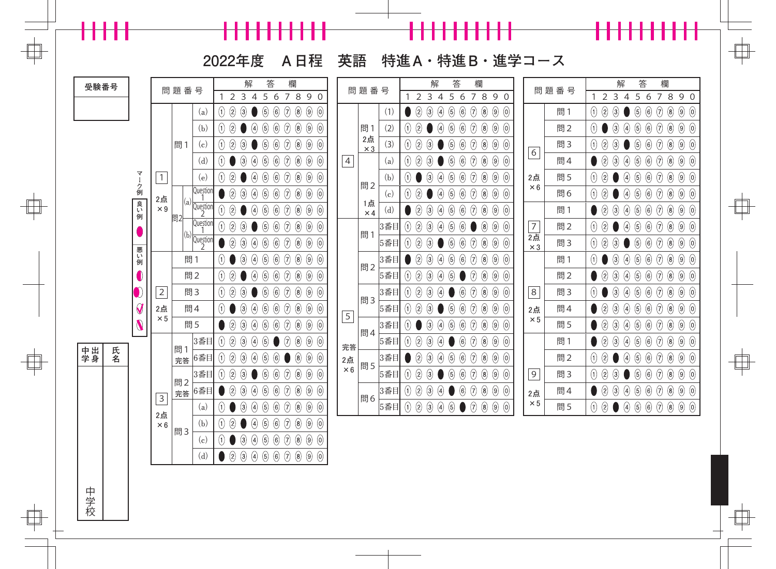╂╂╂╂╂╂╂╂╂╂

╂╂╂╂╂

 $\begin{array}{c} \begin{array}{c} \begin{array}{c} \end{array} \end{array} \end{array}$ 

 $\Box$ 

**2022年度 A日程 英語 特進A・特進B・進学コース**

┝╂╂╂╂╂

 $\Box$ 

f

| 受験番号     |    |                       |                  | 問題番号     |                                      |                                     |                  | 解                 | 答                                     | 欄                                                                                                                      |                                              | 問題番号           |                  |     |                                  | 解                            |                                   | 答                                             |                | 欄                 |                                     |                  | 問題番号 |                                                                |                | 解                                                  | 答                |                                    | 欄                              |                    |
|----------|----|-----------------------|------------------|----------|--------------------------------------|-------------------------------------|------------------|-------------------|---------------------------------------|------------------------------------------------------------------------------------------------------------------------|----------------------------------------------|----------------|------------------|-----|----------------------------------|------------------------------|-----------------------------------|-----------------------------------------------|----------------|-------------------|-------------------------------------|------------------|------|----------------------------------------------------------------|----------------|----------------------------------------------------|------------------|------------------------------------|--------------------------------|--------------------|
|          |    |                       |                  |          |                                      | 2                                   | $\overline{3}$   | $\overline{4}$    | 5<br>6                                | $\overline{7}$                                                                                                         | 890                                          |                |                  |     | 1                                | 2 <sub>3</sub>               | $\overline{4}$                    | 5<br>6                                        | $\overline{7}$ | 89                | $\overline{0}$                      |                  |      | 1                                                              | $\overline{2}$ | 34                                                 | 5                | 6                                  | 7 8 9 0                        |                    |
|          |    |                       |                  |          | (a)                                  | $\left( 1\right)$<br>$\circled{2}$  | $\circledS$      |                   | $\circledS$<br>$\bigcirc$             | 0<br>$\circled{8}$                                                                                                     | $\circled{9}$<br>$\odot$                     |                |                  | (1) | $\circled{2}$                    | $\circled{3}$                | $\bigcirc$                        | $\circledS$<br>$\circled6$                    | $\Theta$       | $\circledS$       | $\circled{9}$<br>$\odot$            |                  | 問1   | $\begin{pmatrix} 1 \end{pmatrix}$                              | $\circledS$    | $\odot$                                            | $\odot$          | $\circled6$<br>$\bigcirc$          | $(9)$ $(0)$<br>$\circled{8}$   |                    |
|          |    |                       |                  |          | (b)                                  | $\circledS$<br>(1)                  |                  | $\left( 4\right)$ | (5)<br>$\odot$                        | 0<br>$\circledS$                                                                                                       | $\circled{9}$<br>$\odot$                     |                | 問1               | (2) | 2<br>$\left( 1\right)$           |                              | $\left( 4\right)$                 | $\bigcirc$<br>$\circledg$                     | $\Theta$       | $\circled{8}$     | $\circled{9}$<br>$\odot$            |                  | 問2   | $\left( 0\right)$                                              |                | $\circled{3}$<br>4)                                | $\circledS$      | $\odot$<br>$\circled6$             | $\circled{9}$<br>$\circledS$   | $\circled{0}$      |
|          |    |                       |                  | 問1       | (c)                                  | $\circledS$<br>(1)                  | $\left(3\right)$ |                   | $\bigcirc$<br>$\left( 6\right)$       | $\bigcirc$<br>$\left( 8\right)$                                                                                        | $\circled{9}$<br>$\odot$                     |                | 2点<br>$\times 3$ | (3) | $\Theta$<br>$\circledS$          | $\left(3\right)$             |                                   | (6)<br>$\left(5\right)$                       | $\circled{7}$  | $\left( 8\right)$ | $\circled{9}$<br>$\odot$            | 6                | 問3   | $\hspace{0.5pt}(\hspace{-0.5pt})\hspace{0.5pt})\hspace{0.5pt}$ | $\circled{2}$  | $\circled{3}$                                      | $\left(5\right)$ | $\circled{7}$<br>$\left( 6\right)$ | $\circled{9}$<br>$\bigcirc$    | $\odot$            |
|          |    |                       |                  |          | (d)                                  | (1)                                 | $\left(3\right)$ | $\left( 4\right)$ | $\bigcirc$<br>$\odot$                 | 0<br>$\circled{8}$                                                                                                     | $\circledS$<br>$\odot$                       | $\overline{4}$ |                  | (a) | $\circledS$<br>$\Theta$          | $\left(3\right)$             |                                   | $\bigcirc$<br>$\left(5\right)$                | $\Theta$       | $\circled{8}$     | $\circled{9}$<br>$\odot$            |                  | 問4   |                                                                | $\circledS$    | $\circled{3}$<br>$\begin{pmatrix} 4 \end{pmatrix}$ | $\circledS$      | $\odot$<br>$\left( 6\right)$       | $\circled{9}$<br>$\circled{8}$ | $\odot$            |
|          |    | マ                     | $\mathbf{1}$     |          | (e)                                  | $\bigcirc$<br>(1)                   |                  | (4)               | $\bigcirc$<br>$\left( 6\right)$       | $\bigcirc$<br>$\left( 8\right)$                                                                                        | $\circled{9}$<br>$\left( 0 \right)$          |                |                  | (b) | $\left( \theta \right)$          | $\left(3\right)$             | $\begin{pmatrix} 4 \end{pmatrix}$ | $\bigcirc$<br>$\left(5\right)$                | $\circled{7}$  | $\left( 8\right)$ | $\circled{9}$<br>$\odot$            | 2点               | 問5   | $\begin{pmatrix} 1 \end{pmatrix}$                              | $\circled{2}$  | $\left( 4\right)$                                  | $\circled{5}$    | $\circled{7}$<br>$\left( 6\right)$ | $\circled{9}$<br>$\bigcirc$    | $\left( 0 \right)$ |
|          |    | Ⅰ ク例                  | 2点               |          | Questior<br> <br>  1                 | $\circled{2}$                       | $\left(3\right)$ | $\left( 4\right)$ | $\bigcirc$<br>$\left( 6\right)$       | 0<br>$\circled{8}$                                                                                                     | $\circledS$<br>$\odot$                       |                | 問2               | (c) | $\Theta$<br>$\bigcirc$           |                              | $\left( 4\right)$                 | $\bigcirc$<br>$\left(5\right)$                | $\Theta$       | $\circled{8}$     | $\circled{9}$<br>$\odot$            | $\times 6$       | 問6   | $\left( 0\right)$                                              | $\circled{2}$  | $\left( 4\right)$                                  | $\circledcirc$   | $\odot$<br>$\odot$                 | $\circled{9}$<br>$\circledS$   | $\odot$            |
|          |    | 良い例                   | $\times\,9$      |          | $I(a)$ $\frac{1}{\sqrt{a} \cdot a}$  | $\bigcirc$<br>(1)                   |                  | (4                | $\bigcirc$<br>$\left( 6\right)$       | 7<br>$\left( 8\right)$                                                                                                 | $\odot$<br>$\circled{9}$                     |                | 1点<br>$\times 4$ | (d) | $\circled{2}$                    | $\left(3\right)$             | $\bigcirc$                        | $\left( 6\right)$<br>$\left(5\right)$         | $\circled{7}$  | $\circledS$       | $\circled{9}$<br>$\left( 0 \right)$ |                  | 問1   |                                                                | $\circledS$    | $\bigcirc$<br>$\bigcirc$                           | $\circledg$      | $\bigcirc$<br>$\bigcirc$           | $\circled{9}$<br>$\circledS$   | $\odot$            |
|          |    |                       |                  | 問2       | Question<br>1                        | $\circled{2}$<br>(1)                | $\left(3\right)$ |                   | $\bigcirc$<br>$\bigcirc$              | 0<br>$\circled{8}$                                                                                                     | $\circledS$<br>$\odot$                       |                |                  | 3番目 | 2<br>$\left( 1\right)$           | $\left(3\right)$             | $\begin{pmatrix} 4 \end{pmatrix}$ | $\bigcirc$<br>$\left(5\right)$                |                | $\left( 8\right)$ | $\circled{9}$<br>$\odot$            | $\frac{7}{2}$    | 問2   | $\begin{pmatrix} 1 \end{pmatrix}$                              | $\circledS$    | $\left( 4\right)$                                  | $\circledS$      | $\odot$<br>$^{(6)}$                | $\circled{9}$<br>$\circledS$   | $\odot$            |
|          |    |                       |                  |          | $\vert$ <sup>(b)</sup> $\frac{1}{2}$ | $\circled{2}$                       | 3)               | $\left( 4\right)$ | $\bigcirc$<br>$\left( 6\right)$       | $\left( \!\!{\rm 7}\!\right)$<br>$\left( 8\right)$                                                                     | $\circled{9}$<br>$\odot$                     |                | 問1               | 5番目 | $\circledS$<br>$\left( 1\right)$ | $\left(3\right)$             |                                   | $\left( 6\right)$<br>$\overline{\mathcal{L}}$ | $\circled{7}$  | $\circled{8}$     | $\circled{9}$<br>$\odot$            | 2点<br>$\times 3$ | 問3   | $\Theta$                                                       | $\circledS$    | $\odot$                                            | $\left(5\right)$ | $\circled{7}$<br>$\left( 6\right)$ | $\circled{9}$<br>$\bigcirc$    | $\odot$            |
|          |    | 悪い例                   |                  |          | 問1                                   | (1)                                 | 3)               | $\left( 4\right)$ | $\bigcirc$<br>$\left( 6\right)$       | 7<br>$\left( 8\right)$                                                                                                 | $\circled{9}$<br>$\odot$                     |                |                  | 3番目 | $\circled{2}$                    | $\left(3\right)$             | $\begin{pmatrix} 4 \end{pmatrix}$ | $\bigcirc$<br>$\left(5\right)$                | $\odot$        | $\circled{8}$     | $\circled{9}$<br>$\left( 0 \right)$ |                  | 問1   | $\begin{matrix} 0 \end{matrix}$                                |                | $\circled{3}$<br>4)                                | $\circledS$      | $\odot$<br>$\odot$                 | $\circled{9}$<br>$\circledS$   | $\odot$            |
|          |    |                       |                  |          | 問2                                   | $^{\circledR}$<br>(1)               |                  | $\left( 4\right)$ | $\bigcirc$<br>$\left( 6\right)$       | $^\mathrm{(7)}$<br>$\left( 8\right)$                                                                                   | $\circled{9}$<br>$\odot$                     |                | 問2               | 5番目 | $\circledS$<br>$\left( 1\right)$ | $\bigcirc$                   | $\left( 4\right)$                 | $\left(5\right)$                              | $\circled{7}$  | $\left( 8\right)$ | $\circled{9}$<br>$\left( 0 \right)$ |                  | 問2   |                                                                | $\circled{2}$  | $\circledS$<br>$\bigcirc$                          | $\circledg$      | $\circled{7}$<br>$\left( 6\right)$ | $\circled{9}$<br>$\bigcirc$    | $\left( 0 \right)$ |
|          |    | $\bm{D}$              | $\overline{2}$   |          | 問3                                   | $^{\circledR}$<br>$\left( 1\right)$ | 3)               |                   | $\bigcirc$<br>$\left( 6\right)$       | 0<br>$\circled{8}$                                                                                                     | $\circledS$<br>$\odot$                       |                |                  | 3番目 | $\left( 1\right)$<br>$\bigcirc$  |                              | $\left( 4\right)$                 | $\left( 6\right)$                             | $\odot$        | $\circledS$       | $\circled{9}$<br>$\odot$            | 8                | 問3   | $\left( 1\right)$                                              |                | $\circled{3}$<br>4                                 | $\circledS$      | $\odot$<br>$\bigcirc$              | $\circled{9}$<br>$\circledS$   | $\odot$            |
|          |    | $\boldsymbol{Q}$      | 2点               |          | 問4                                   | (1)                                 | 3)               | $\left( 4\right)$ | $\bigcirc$<br>$\bigcirc$              | $^\text{\textregistered}$<br>$\left( 8\right)$                                                                         | $\circled{9}$<br>$\odot$                     |                | 問3               | 5番目 | $\left( 1\right)$<br>$\bigcirc$  | $\left(3\right)$             |                                   | $\left( 6\right)$<br>$\left(5\right)$         | $\circledR$    | $\circled{8}$     | $\circled{9}$<br>$\odot$            | 2点               | 問4   |                                                                | $\circled{2}$  | $\circledS$<br>$\bigcirc$                          | $\circledcirc$   | $\bigcirc$<br>$\left( 6\right)$    | $\circled{9}$<br>$\circledS$   | $\circled{0}$      |
|          |    | $\boldsymbol{\theta}$ | $\times 5$       |          | 問5                                   | $\circled{2}$                       | ③                | G                 | $\circled{6}$<br>$\bigcirc$           | 0<br>$\circledS$                                                                                                       | $\circledS$<br>$\odot$                       | $\mathsf S$    |                  | 3番目 | $\left( 1\right)$                | $\left(\!\frac{3}{2}\right)$ | $\left( 4\right)$                 | $\bigcirc$<br>$\left(5\right)$                | $\Theta$       | $\circled{8}$     | $\circled{9}$<br>$\odot$            | $\times 5$       | 問5   |                                                                | $\circled{2}$  | $\odot$<br>$\begin{pmatrix} 4 \end{pmatrix}$       | $\circledS$      | $\odot$<br>$\bigcirc$              | $\circled{9}$<br>$\circledS$   | $\odot$            |
|          |    |                       |                  |          | 3番目                                  | $\circledS$<br>(1)                  | $\left(3\right)$ | (4                | 5                                     | $\bigcirc$<br>(7                                                                                                       | $\circledS$<br>$\odot$                       |                | 問4               | 5番目 | $\circledS$<br>$\left( 1\right)$ | $\left(3\right)$             | $\left( 4\right)$                 | $\left( 6\right)$                             | $\circled{7}$  | $\left( 8\right)$ | $\circled{9}$<br>$\odot$            |                  | 問1   |                                                                | $\circled{2}$  | $\odot$<br>4                                       | $\circledg$      | $\circled{7}$<br>$\left( 6\right)$ | $\circled{9}$<br>$\bigcirc$    | $\odot$            |
| 中出<br>学身 | 氏名 |                       |                  | 問1<br>完答 | 6番目                                  | $\circled{2}$<br>(1)                | 3)               | $\left( 4\right)$ | $\left( 6\right)$<br>$\bigcirc$       | $\circled{6}$                                                                                                          | $\odot$<br>$\large{\textcircled{\small{9}}}$ | 完答<br>2点       |                  | 3番目 | $\bigcirc$                       | $\left(3\right)$             | $\left( 4\right)$                 | $\bigcirc$<br>$\left(5\right)$                | $\odot$        | $\left( 8\right)$ | $\circled{9}$<br>$\odot$            |                  | 問2   | $\begin{matrix} 0 \end{matrix}$                                | $\circled{2}$  | $\left( 4\right)$                                  | $\circledcirc$   | 0<br>$\bigcirc$                    | $\circled{9}$<br>$\circledS$   | $\odot$            |
|          |    |                       |                  |          | 3番目                                  | 2<br>(1)                            | 3                |                   | $\left( 6\right)$<br>$\left(5\right)$ | $\left( \begin{matrix} 8 \end{matrix} \right)$<br>$\left( \!\!{\,}^{\mathop{}\limits_{}}_{\mathop{}\limits^{}}\right)$ | $\circled{9}$<br>$\odot$                     | $\times 6$     | 問5               | 5番目 | $\bigcirc$<br>$\left( 1\right)$  | $\bigcirc$                   |                                   | $\left( 6\right)$<br>$\left(5\right)$         | $\circled{7}$  | $\left( 8\right)$ | $\circled{9}$<br>$\odot$            | 9                | 問3   | $\begin{matrix} 0 \end{matrix}$                                | $\circled{2}$  | $\bigcirc$                                         | $\left(5\right)$ | $\circled{7}$<br>$\left( 6\right)$ | $\circled{9}$<br>$\bigcirc$    | $\left( 0 \right)$ |
|          |    |                       |                  | 問2<br>完答 | 6番目                                  | $\circled{2}$                       | $\left(3\right)$ | $\left( 4\right)$ | $\bigcirc$<br>$\odot$                 | 0<br>$\circled{8}$                                                                                                     | $\circledS$<br>$\odot$                       |                |                  | 3番目 | $\Theta$<br>$\circledS$          | $\left(3\right)$             | $\begin{pmatrix} 4 \end{pmatrix}$ | $\bigcirc$                                    | $\Theta$       | $\circledS$       | $\circled{9}$<br>$\odot$            | 2点               | 問4   |                                                                | $\circledS$    | $\odot$<br>$\bigcirc$                              | $\odot$          | $\odot$<br>$\circled6$             | $\circledS$<br>$\circled{0}$   |                    |
|          |    |                       | $\mathsf 3$      |          | (a)                                  | (1)                                 | $\left(3\right)$ | $\left( 4\right)$ | $\bigcirc$<br>$\left( 6\right)$       | $\bigcirc$<br>$\left( 8\right)$                                                                                        | $\circled{9}$<br>$\odot$                     |                | 問6               | 5番目 | $\circledS$<br>$\Theta$          | $\odot$                      | $\bigcirc$                        | $\circled{5}$<br>$\bullet$                    | $\Theta$       | $\circledS$       | $\circled{9}$<br>$\odot$            | $\times 5$       | 問5   | $\Theta$                                                       | $\circledR$    | $\bigcirc$                                         | $\circledS$      | $\bigcirc$<br>$\circled{6}$        | $(9)$ $(0)$<br>$\circledS$     |                    |
|          |    |                       | 2点<br>$\times 6$ |          | (b)                                  | $\circled{2}$<br>$\left( 1\right)$  |                  | $\left( 4\right)$ | $\bigcirc$<br>$\left( 6\right)$       | 0<br>$\left( 8\right)$                                                                                                 | $\circled{9}$<br>$\odot$                     |                |                  |     |                                  |                              |                                   |                                               |                |                   |                                     |                  |      |                                                                |                |                                                    |                  |                                    |                                |                    |
|          |    |                       |                  | 問3       | (c)                                  | (1)                                 | $\bigcirc$       | $\bigcirc$        | $\bigcirc$<br>$\bigcirc$              | $^\text{\textregistered}$<br>$\circled{8}$                                                                             | $\circledtheta$<br>$\odot$                   |                |                  |     |                                  |                              |                                   |                                               |                |                   |                                     |                  |      |                                                                |                |                                                    |                  |                                    |                                |                    |
|          |    |                       |                  |          | (d)                                  | $\circledR$                         | $\circled{3}$    | $\bigcirc$        | $\circled{5}$<br>$\circled{6}$        | $\Theta$<br>$\circledS$                                                                                                | $\circled{9}$<br>$\odot$                     |                |                  |     |                                  |                              |                                   |                                               |                |                   |                                     |                  |      |                                                                |                |                                                    |                  |                                    |                                |                    |
|          |    |                       |                  |          |                                      |                                     |                  |                   |                                       |                                                                                                                        |                                              |                |                  |     |                                  |                              |                                   |                                               |                |                   |                                     |                  |      |                                                                |                |                                                    |                  |                                    |                                |                    |
|          |    |                       |                  |          |                                      |                                     |                  |                   |                                       |                                                                                                                        |                                              |                |                  |     |                                  |                              |                                   |                                               |                |                   |                                     |                  |      |                                                                |                |                                                    |                  |                                    |                                |                    |
| 中学校      |    |                       |                  |          |                                      |                                     |                  |                   |                                       |                                                                                                                        |                                              |                |                  |     |                                  |                              |                                   |                                               |                |                   |                                     |                  |      |                                                                |                |                                                    |                  |                                    |                                |                    |
|          |    |                       |                  |          |                                      |                                     |                  |                   |                                       |                                                                                                                        |                                              |                |                  |     |                                  |                              |                                   |                                               |                |                   |                                     |                  |      |                                                                |                |                                                    |                  |                                    |                                |                    |
|          |    |                       |                  |          |                                      |                                     |                  |                   |                                       |                                                                                                                        |                                              |                |                  |     |                                  |                              |                                   |                                               |                |                   |                                     |                  |      |                                                                |                |                                                    |                  |                                    |                                |                    |
|          |    |                       |                  |          |                                      |                                     |                  |                   |                                       |                                                                                                                        |                                              |                |                  |     |                                  |                              |                                   |                                               |                |                   |                                     |                  |      |                                                                |                |                                                    |                  |                                    |                                |                    |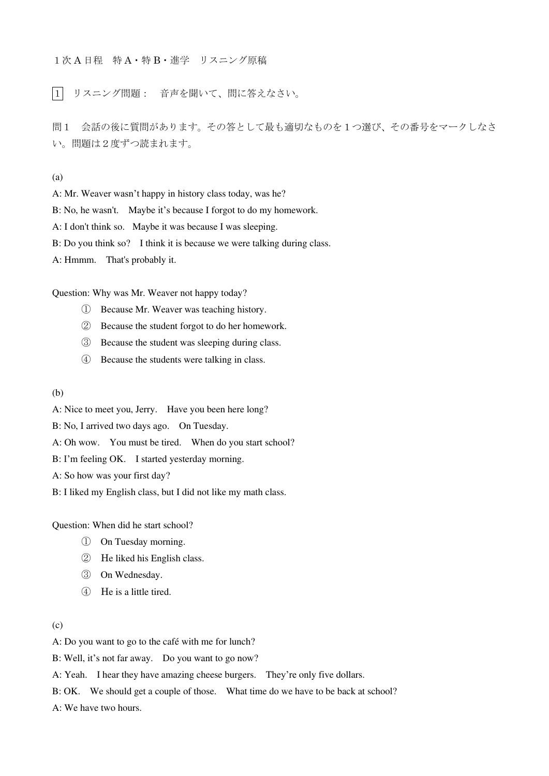1次 A 日程 特 A・特 B・進学 リスニング原稿

1 リスニング問題: 音声を聞いて、問に答えなさい。

問1 会話の後に質問があります。その答として最も適切なものを1つ選び、その番号をマークしなさ い。問題は2度ずつ読まれます。

(a)

A: Mr. Weaver wasn't happy in history class today, was he?

B: No, he wasn't. Maybe it's because I forgot to do my homework.

A: I don't think so. Maybe it was because I was sleeping.

B: Do you think so? I think it is because we were talking during class.

A: Hmmm. That's probably it.

Question: Why was Mr. Weaver not happy today?

- ① Because Mr. Weaver was teaching history.
- ② Because the student forgot to do her homework.
- ③ Because the student was sleeping during class.
- ④ Because the students were talking in class.

(b)

A: Nice to meet you, Jerry. Have you been here long?

B: No, I arrived two days ago. On Tuesday.

A: Oh wow. You must be tired. When do you start school?

B: I'm feeling OK. I started yesterday morning.

A: So how was your first day?

B: I liked my English class, but I did not like my math class.

Question: When did he start school?

- ① On Tuesday morning.
- ② He liked his English class.
- ③ On Wednesday.
- ④ He is a little tired.

### (c)

A: Do you want to go to the café with me for lunch?

B: Well, it's not far away. Do you want to go now?

A: Yeah. I hear they have amazing cheese burgers. They're only five dollars.

B: OK. We should get a couple of those. What time do we have to be back at school?

A: We have two hours.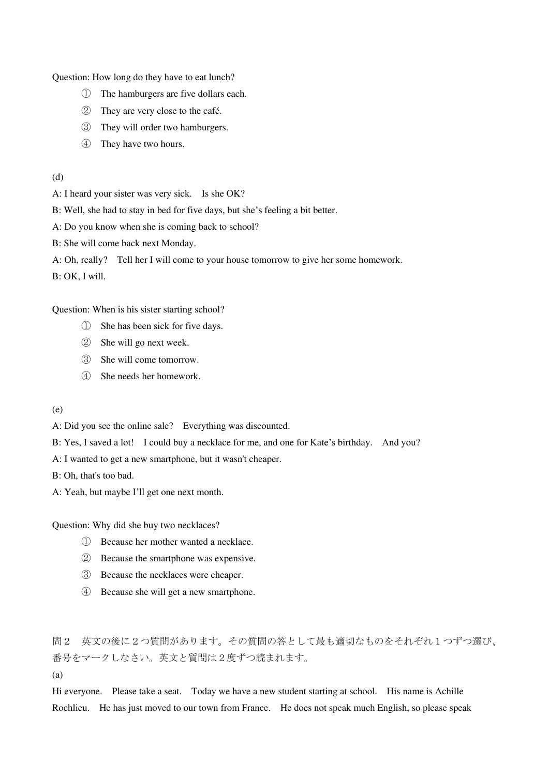Question: How long do they have to eat lunch?

- ① The hamburgers are five dollars each.
- ② They are very close to the café.
- ③ They will order two hamburgers.
- ④ They have two hours.
- (d)

A: I heard your sister was very sick. Is she OK?

B: Well, she had to stay in bed for five days, but she's feeling a bit better.

A: Do you know when she is coming back to school?

B: She will come back next Monday.

A: Oh, really? Tell her I will come to your house tomorrow to give her some homework.

B: OK, I will.

Question: When is his sister starting school?

- ① She has been sick for five days.
- ② She will go next week.
- ③ She will come tomorrow.
- ④ She needs her homework.
- (e)

A: Did you see the online sale? Everything was discounted.

B: Yes, I saved a lot! I could buy a necklace for me, and one for Kate's birthday. And you?

A: I wanted to get a new smartphone, but it wasn't cheaper.

B: Oh, that's too bad.

A: Yeah, but maybe I'll get one next month.

Question: Why did she buy two necklaces?

- ① Because her mother wanted a necklace.
- ② Because the smartphone was expensive.
- ③ Because the necklaces were cheaper.
- ④ Because she will get a new smartphone.

問2 英文の後に2つ質問があります。その質問の答として最も適切なものをそれぞれ1つずつ選び、 番号をマークしなさい。英文と質問は2度ずつ読まれます。

(a)

Hi everyone. Please take a seat. Today we have a new student starting at school. His name is Achille Rochlieu. He has just moved to our town from France. He does not speak much English, so please speak